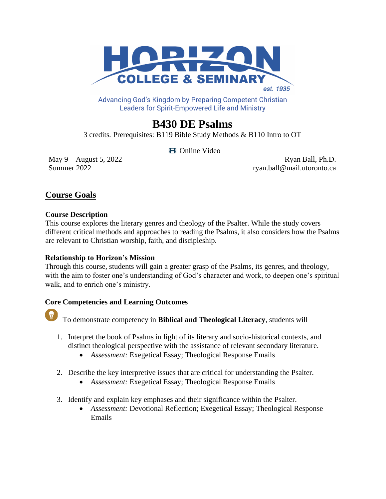

Advancing God's Kingdom by Preparing Competent Christian **Leaders for Spirit-Empowered Life and Ministry** 

# **B430 DE Psalms**

3 credits*.* Prerequisites: B119 Bible Study Methods & B110 Intro to OT

Online Video

May 9 – August 5, 2022 Ryan Ball, Ph.D. Summer 2022 ryan.ball@mail.utoronto.ca

# **Course Goals**

#### **Course Description**

This course explores the literary genres and theology of the Psalter. While the study covers different critical methods and approaches to reading the Psalms, it also considers how the Psalms are relevant to Christian worship, faith, and discipleship.

# **Relationship to Horizon's Mission**

Through this course, students will gain a greater grasp of the Psalms, its genres, and theology, with the aim to foster one's understanding of God's character and work, to deepen one's spiritual walk, and to enrich one's ministry.

# **Core Competencies and Learning Outcomes**



To demonstrate competency in **Biblical and Theological Literacy**, students will

- 1. Interpret the book of Psalms in light of its literary and socio-historical contexts, and distinct theological perspective with the assistance of relevant secondary literature.
	- *Assessment:* Exegetical Essay; Theological Response Emails
- 2. Describe the key interpretive issues that are critical for understanding the Psalter.
	- *Assessment:* Exegetical Essay; Theological Response Emails
- 3. Identify and explain key emphases and their significance within the Psalter.
	- *Assessment:* Devotional Reflection; Exegetical Essay; Theological Response Emails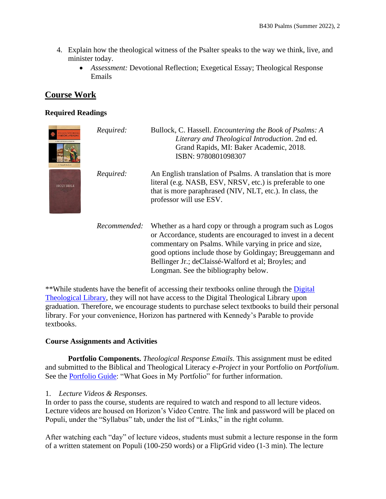- 4. Explain how the theological witness of the Psalter speaks to the way we think, live, and minister today.
	- *Assessment:* Devotional Reflection; Exegetical Essay; Theological Response Emails

# **Course Work**

#### **Required Readings**

| <b>Staccell Bolloc</b> | Required:    | Bullock, C. Hassell. <i>Encountering the Book of Psalms: A</i><br>Literary and Theological Introduction. 2nd ed.<br>Grand Rapids, MI: Baker Academic, 2018.<br>ISBN: 9780801098307                                                                                                                                                              |
|------------------------|--------------|-------------------------------------------------------------------------------------------------------------------------------------------------------------------------------------------------------------------------------------------------------------------------------------------------------------------------------------------------|
|                        | Required:    | An English translation of Psalms. A translation that is more<br>literal (e.g. NASB, ESV, NRSV, etc.) is preferable to one<br>that is more paraphrased (NIV, NLT, etc.). In class, the<br>professor will use ESV.                                                                                                                                |
|                        | Recommended: | Whether as a hard copy or through a program such as Logos<br>or Accordance, students are encouraged to invest in a decent<br>commentary on Psalms. While varying in price and size,<br>good options include those by Goldingay; Breuggemann and<br>Bellinger Jr.; deClaissé-Walford et al; Broyles; and<br>Longman. See the bibliography below. |

\*\*While students have the benefit of accessing their textbooks online through the [Digital](https://libguides.thedtl.org/home)  [Theological Library,](https://libguides.thedtl.org/home) they will not have access to the Digital Theological Library upon graduation. Therefore, we encourage students to purchase select textbooks to build their personal library. For your convenience, Horizon has partnered with Kennedy's Parable to provide textbooks.

#### **Course Assignments and Activities**

**Portfolio Components.** *Theological Response Emails*. This assignment must be edited and submitted to the Biblical and Theological Literacy *e-Project* in your Portfolio on *Portfolium*. See the [Portfolio](https://www.horizon.edu/wp-content/uploads/2019/09/Portfolio-Guide-September-2019.pdf) Guide: "What Goes in My Portfolio" for further information.

#### 1. *Lecture Videos & Responses.*

In order to pass the course, students are required to watch and respond to all lecture videos. Lecture videos are housed on Horizon's Video Centre. The link and password will be placed on Populi, under the "Syllabus" tab, under the list of "Links," in the right column.

After watching each "day" of lecture videos, students must submit a lecture response in the form of a written statement on Populi (100-250 words) or a FlipGrid video (1-3 min). The lecture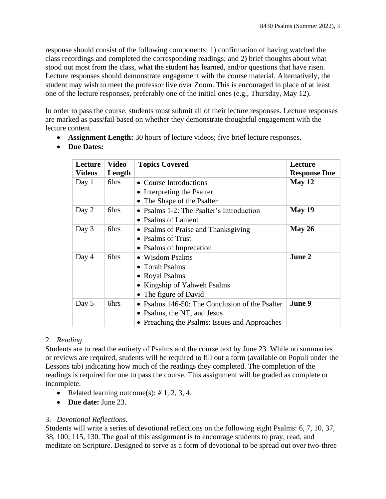response should consist of the following components: 1) confirmation of having watched the class recordings and completed the corresponding readings; and 2) brief thoughts about what stood out most from the class, what the student has learned, and/or questions that have risen. Lecture responses should demonstrate engagement with the course material. Alternatively, the student may wish to meet the professor live over Zoom. This is encouraged in place of at least one of the lecture responses, preferably one of the initial ones (e.g., Thursday, May 12).

In order to pass the course, students must submit all of their lecture responses. Lecture responses are marked as pass/fail based on whether they demonstrate thoughtful engagement with the lecture content.

- **Assignment Length:** 30 hours of lecture videos; five brief lecture responses.
- **Due Dates:**

| Lecture       | <b>Video</b> | <b>Topics Covered</b>                          | Lecture             |
|---------------|--------------|------------------------------------------------|---------------------|
| <b>Videos</b> | Length       |                                                | <b>Response Due</b> |
| Day 1         | 6hrs         | • Course Introductions                         | May 12              |
|               |              | • Interpreting the Psalter                     |                     |
|               |              | • The Shape of the Psalter                     |                     |
| Day 2         | 6hrs         | • Psalms 1-2: The Psalter's Introduction       | May 19              |
|               |              | • Psalms of Lament                             |                     |
| Day 3         | 6hrs         | • Psalms of Praise and Thanksgiving            | May 26              |
|               |              | • Psalms of Trust                              |                     |
|               |              | • Psalms of Imprecation                        |                     |
| Day 4         | 6hrs         | • Wisdom Psalms                                | June 2              |
|               |              | • Torah Psalms                                 |                     |
|               |              | • Royal Psalms                                 |                     |
|               |              | • Kingship of Yahweh Psalms                    |                     |
|               |              | • The figure of David                          |                     |
| Day 5         | 6hrs         | • Psalms 146-50: The Conclusion of the Psalter | June 9              |
|               |              | • Psalms, the NT, and Jesus                    |                     |
|               |              | • Preaching the Psalms: Issues and Approaches  |                     |

#### 2. *Reading*.

Students are to read the entirety of Psalms and the course text by June 23. While no summaries or reviews are required, students will be required to fill out a form (available on Populi under the Lessons tab) indicating how much of the readings they completed. The completion of the readings is required for one to pass the course. This assignment will be graded as complete or incomplete.

- Related learning outcome(s): *#* 1, 2, 3, 4.
- **Due date:** June 23.

#### 3. *Devotional Reflections*.

Students will write a series of devotional reflections on the following eight Psalms: 6, 7, 10, 37, 38, 100, 115, 130. The goal of this assignment is to encourage students to pray, read, and meditate on Scripture. Designed to serve as a form of devotional to be spread out over two-three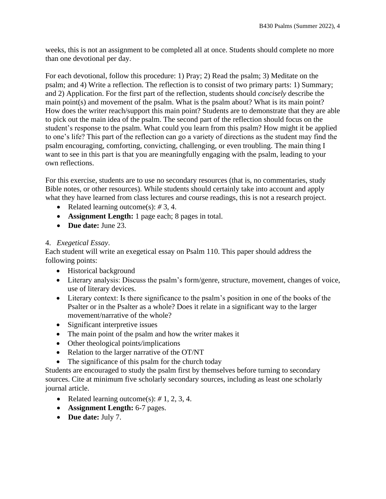weeks, this is not an assignment to be completed all at once. Students should complete no more than one devotional per day.

For each devotional, follow this procedure: 1) Pray; 2) Read the psalm; 3) Meditate on the psalm; and 4) Write a reflection. The reflection is to consist of two primary parts: 1) Summary; and 2) Application. For the first part of the reflection, students should *concisely* describe the main point(s) and movement of the psalm. What is the psalm about? What is its main point? How does the writer reach/support this main point? Students are to demonstrate that they are able to pick out the main idea of the psalm. The second part of the reflection should focus on the student's response to the psalm. What could you learn from this psalm? How might it be applied to one's life? This part of the reflection can go a variety of directions as the student may find the psalm encouraging, comforting, convicting, challenging, or even troubling. The main thing I want to see in this part is that you are meaningfully engaging with the psalm, leading to your own reflections.

For this exercise, students are to use no secondary resources (that is, no commentaries, study Bible notes, or other resources). While students should certainly take into account and apply what they have learned from class lectures and course readings, this is not a research project.

- Related learning outcome(s): *#* 3, 4.
- **Assignment Length:** 1 page each; 8 pages in total.
- **Due date:** June 23.

#### 4. *Exegetical Essay*.

Each student will write an exegetical essay on Psalm 110. This paper should address the following points:

- Historical background
- Literary analysis: Discuss the psalm's form/genre, structure, movement, changes of voice, use of literary devices.
- Literary context: Is there significance to the psalm's position in one of the books of the Psalter or in the Psalter as a whole? Does it relate in a significant way to the larger movement/narrative of the whole?
- Significant interpretive issues
- The main point of the psalm and how the writer makes it
- Other theological points/implications
- Relation to the larger narrative of the OT/NT
- The significance of this psalm for the church today

Students are encouraged to study the psalm first by themselves before turning to secondary sources. Cite at minimum five scholarly secondary sources, including as least one scholarly journal article.

- Related learning outcome(s): *#* 1, 2, 3, 4.
- **Assignment Length:** 6-7 pages.
- **Due date:** July 7.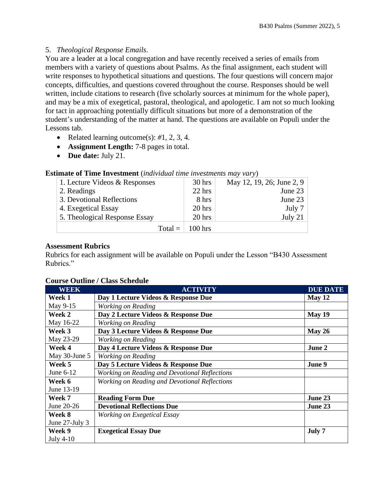# 5. *Theological Response Emails*.

You are a leader at a local congregation and have recently received a series of emails from members with a variety of questions about Psalms. As the final assignment, each student will write responses to hypothetical situations and questions. The four questions will concern major concepts, difficulties, and questions covered throughout the course. Responses should be well written, include citations to research (five scholarly sources at minimum for the whole paper), and may be a mix of exegetical, pastoral, theological, and apologetic. I am not so much looking for tact in approaching potentially difficult situations but more of a demonstration of the student's understanding of the matter at hand. The questions are available on Populi under the Lessons tab.

- Related learning outcome(s): *#*1, 2, 3, 4.
- **Assignment Length:** 7-8 pages in total.
- **Due date:** July 21.

| $\mathbf{u}$ $\mathbf{u}$ $\mathbf{v}$ $\mathbf{v}$ $\mathbf{v}$ $\mathbf{v}$ $\mathbf{v}$ $\mathbf{v}$ $\mathbf{v}$ $\mathbf{v}$ $\mathbf{v}$ $\mathbf{v}$ $\mathbf{v}$ $\mathbf{v}$ $\mathbf{v}$ $\mathbf{v}$ $\mathbf{v}$ $\mathbf{v}$ $\mathbf{v}$ $\mathbf{v}$ $\mathbf{v}$ $\mathbf{v}$ $\mathbf{v}$ $\mathbf{v}$ $\mathbf{$ |           |                           |  |  |  |
|------------------------------------------------------------------------------------------------------------------------------------------------------------------------------------------------------------------------------------------------------------------------------------------------------------------------------------|-----------|---------------------------|--|--|--|
| 1. Lecture Videos & Responses                                                                                                                                                                                                                                                                                                      | $30$ hrs  | May 12, 19, 26; June 2, 9 |  |  |  |
| 2. Readings                                                                                                                                                                                                                                                                                                                        | $22$ hrs  | June 23                   |  |  |  |
| 3. Devotional Reflections                                                                                                                                                                                                                                                                                                          | 8 hrs     | June 23                   |  |  |  |
| 4. Exegetical Essay                                                                                                                                                                                                                                                                                                                | $20$ hrs  | July 7                    |  |  |  |
| 5. Theological Response Essay                                                                                                                                                                                                                                                                                                      | 20 hrs    | July $21$                 |  |  |  |
| $Total =$                                                                                                                                                                                                                                                                                                                          | $100$ hrs |                           |  |  |  |

#### **Estimate of Time Investment** (*individual time investments may vary*)

#### **Assessment Rubrics**

Rubrics for each assignment will be available on Populi under the Lesson "B430 Assessment Rubrics."

#### **Course Outline / Class Schedule**

| WEEK           | <b>ACTIVITY</b>                               | <b>DUE DATE</b> |
|----------------|-----------------------------------------------|-----------------|
| Week 1         | Day 1 Lecture Videos & Response Due           | May 12          |
| May 9-15       | Working on Reading                            |                 |
| Week 2         | Day 2 Lecture Videos & Response Due           | <b>May 19</b>   |
| May 16-22      | Working on Reading                            |                 |
| Week 3         | Day 3 Lecture Videos & Response Due           | May $26$        |
| May 23-29      | Working on Reading                            |                 |
| Week 4         | Day 4 Lecture Videos & Response Due           | June 2          |
| May 30-June 5  | Working on Reading                            |                 |
| Week 5         | Day 5 Lecture Videos & Response Due           | June 9          |
| June 6-12      | Working on Reading and Devotional Reflections |                 |
| Week 6         | Working on Reading and Devotional Reflections |                 |
| June 13-19     |                                               |                 |
| Week 7         | <b>Reading Form Due</b>                       | June 23         |
| June 20-26     | <b>Devotional Reflections Due</b>             | June 23         |
| Week 8         | Working on Exegetical Essay                   |                 |
| June 27-July 3 |                                               |                 |
| Week 9         | <b>Exegetical Essay Due</b>                   | July 7          |
| July $4-10$    |                                               |                 |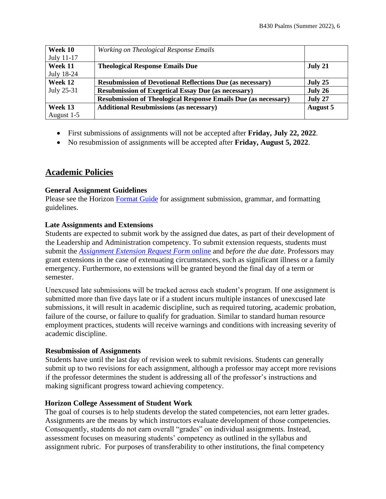| Week 10    | Working on Theological Response Emails                                |                 |
|------------|-----------------------------------------------------------------------|-----------------|
| July 11-17 |                                                                       |                 |
| Week 11    | <b>Theological Response Emails Due</b>                                | July 21         |
| July 18-24 |                                                                       |                 |
| Week 12    | <b>Resubmission of Devotional Reflections Due (as necessary)</b>      | July 25         |
| July 25-31 | <b>Resubmission of Exegetical Essay Due (as necessary)</b>            | July 26         |
|            | <b>Resubmission of Theological Response Emails Due (as necessary)</b> | July 27         |
| Week 13    | <b>Additional Resubmissions (as necessary)</b>                        | <b>August 5</b> |
| August 1-5 |                                                                       |                 |

- First submissions of assignments will not be accepted after **Friday, July 22, 2022**.
- No resubmission of assignments will be accepted after **Friday, August 5, 2022**.

# **Academic Policies**

#### **General Assignment Guidelines**

Please see the Horizon [Format Guide](https://www.horizon.edu/students/resources/) for assignment submission, grammar, and formatting guidelines.

#### **Late Assignments and Extensions**

Students are expected to submit work by the assigned due dates, as part of their development of the Leadership and Administration competency. To submit extension requests, students must submit the *[Assignment Extension Request Form](https://horizon.edu/forms/student/)* online and *before the due date*. Professors may grant extensions in the case of extenuating circumstances, such as significant illness or a family emergency. Furthermore, no extensions will be granted beyond the final day of a term or semester.

Unexcused late submissions will be tracked across each student's program. If one assignment is submitted more than five days late or if a student incurs multiple instances of unexcused late submissions, it will result in academic discipline, such as required tutoring, academic probation, failure of the course, or failure to qualify for graduation. Similar to standard human resource employment practices, students will receive warnings and conditions with increasing severity of academic discipline.

#### **Resubmission of Assignments**

Students have until the last day of revision week to submit revisions. Students can generally submit up to two revisions for each assignment, although a professor may accept more revisions if the professor determines the student is addressing all of the professor's instructions and making significant progress toward achieving competency.

#### **Horizon College Assessment of Student Work**

The goal of courses is to help students develop the stated competencies, not earn letter grades. Assignments are the means by which instructors evaluate development of those competencies. Consequently, students do not earn overall "grades" on individual assignments. Instead, assessment focuses on measuring students' competency as outlined in the syllabus and assignment rubric. For purposes of transferability to other institutions, the final competency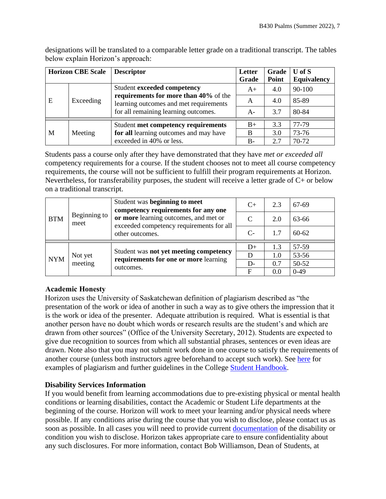designations will be translated to a comparable letter grade on a traditional transcript. The tables below explain Horizon's approach:

| <b>Horizon CBE Scale</b> |           | <b>Descriptor</b>                                                               | Letter<br>Grade | Grade<br>Point | $U$ of $S$<br>Equivalency |
|--------------------------|-----------|---------------------------------------------------------------------------------|-----------------|----------------|---------------------------|
| E                        | Exceeding | Student exceeded competency                                                     | $A+$            | 4.0            | 90-100                    |
|                          |           | requirements for more than 40% of the<br>learning outcomes and met requirements | A               | 4.0            | 85-89                     |
|                          |           | for all remaining learning outcomes.                                            | $A-$            | 3.7            | 80-84                     |
|                          |           | Student met competency requirements                                             | $B+$            | 3.3            | 77-79                     |
| M                        | Meeting   | for all learning outcomes and may have                                          | B               | 3.0            | 73-76                     |
|                          |           | exceeded in 40% or less.                                                        | $B -$           | 2.7            | 70-72                     |

Students pass a course only after they have demonstrated that they have *met or exceeded all*  competency requirements for a course. If the student chooses not to meet all course competency requirements, the course will not be sufficient to fulfill their program requirements at Horizon. Nevertheless, for transferability purposes, the student will receive a letter grade of C+ or below on a traditional transcript.

| <b>BTM</b> | Beginning to<br>meet | Student was beginning to meet<br>competency requirements for any one                                 | $C+$ | 2.3 | 67-69     |
|------------|----------------------|------------------------------------------------------------------------------------------------------|------|-----|-----------|
|            |                      | or more learning outcomes, and met or<br>exceeded competency requirements for all<br>other outcomes. | C    | 2.0 | 63-66     |
|            |                      |                                                                                                      | $C-$ | 1.7 | $60 - 62$ |
|            |                      |                                                                                                      | $D+$ | 1.3 | 57-59     |
|            | Not yet              | Student was not yet meeting competency                                                               |      |     |           |
|            |                      |                                                                                                      | D    | 1.0 | 53-56     |
| <b>NYM</b> | meeting              | requirements for one or more learning<br>outcomes.                                                   | $D-$ | 0.7 | 50-52     |

# **Academic Honesty**

Horizon uses the University of Saskatchewan definition of plagiarism described as "the presentation of the work or idea of another in such a way as to give others the impression that it is the work or idea of the presenter. Adequate attribution is required. What is essential is that another person have no doubt which words or research results are the student's and which are drawn from other sources" (Office of the University Secretary, 2012). Students are expected to give due recognition to sources from which all substantial phrases, sentences or even ideas are drawn. Note also that you may not submit work done in one course to satisfy the requirements of another course (unless both instructors agree beforehand to accept such work). See [here](http://www.turnitin.com/assets/en_us/media/plagiarism_spectrum.php) for examples of plagiarism and further guidelines in the College [Student Handbook.](https://www.horizon.edu/students/resources/)

#### **Disability Services Information**

If you would benefit from learning accommodations due to pre-existing physical or mental health conditions or learning disabilities, contact the Academic or Student Life departments at the beginning of the course. Horizon will work to meet your learning and/or physical needs where possible. If any conditions arise during the course that you wish to disclose, please contact us as soon as possible. In all cases you will need to provide current [documentation](https://www.horizon.edu/students/support/) of the disability or condition you wish to disclose. Horizon takes appropriate care to ensure confidentiality about any such disclosures. For more information, contact Bob Williamson, Dean of Students, at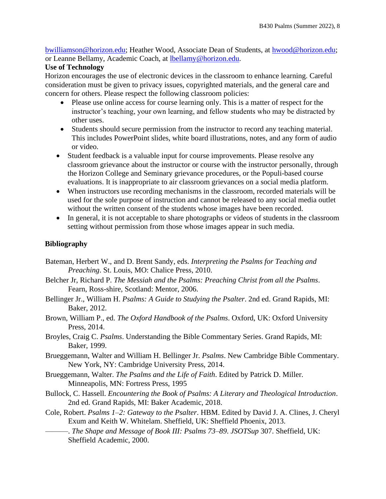[bwilliamson@horizon.edu;](mailto:bwilliamson@horizon.edu) Heather Wood, Associate Dean of Students, at [hwood@horizon.edu;](mailto:hwood@horizon.edu) or Leanne Bellamy, Academic Coach, at [lbellamy@horizon.edu.](mailto:lbellamy@horizon.edu)

#### **Use of Technology**

Horizon encourages the use of electronic devices in the classroom to enhance learning. Careful consideration must be given to privacy issues, copyrighted materials, and the general care and concern for others. Please respect the following classroom policies:

- Please use online access for course learning only. This is a matter of respect for the instructor's teaching, your own learning, and fellow students who may be distracted by other uses.
- Students should secure permission from the instructor to record any teaching material. This includes PowerPoint slides, white board illustrations, notes, and any form of audio or video.
- Student feedback is a valuable input for course improvements. Please resolve any classroom grievance about the instructor or course with the instructor personally, through the Horizon College and Seminary grievance procedures, or the Populi-based course evaluations. It is inappropriate to air classroom grievances on a social media platform.
- When instructors use recording mechanisms in the classroom, recorded materials will be used for the sole purpose of instruction and cannot be released to any social media outlet without the written consent of the students whose images have been recorded.
- In general, it is not acceptable to share photographs or videos of students in the classroom setting without permission from those whose images appear in such media.

### **Bibliography**

- Bateman, Herbert W., and D. Brent Sandy, eds. *Interpreting the Psalms for Teaching and Preaching*. St. Louis, MO: Chalice Press, 2010.
- Belcher Jr, Richard P. *The Messiah and the Psalms: Preaching Christ from all the Psalms*. Fearn, Ross-shire, Scotland: Mentor, 2006.
- Bellinger Jr., William H. *Psalms: A Guide to Studying the Psalter*. 2nd ed. Grand Rapids, MI: Baker, 2012.
- Brown, William P., ed. *The Oxford Handbook of the Psalms*. Oxford, UK: Oxford University Press, 2014.
- Broyles, Craig C. *Psalms*. Understanding the Bible Commentary Series. Grand Rapids, MI: Baker, 1999.
- Brueggemann, Walter and William H. Bellinger Jr. *Psalms*. New Cambridge Bible Commentary. New York, NY: Cambridge University Press, 2014.
- Brueggemann, Walter. *The Psalms and the Life of Faith*. Edited by Patrick D. Miller. Minneapolis, MN: Fortress Press, 1995
- Bullock, C. Hassell. *Encountering the Book of Psalms: A Literary and Theological Introduction*. 2nd ed. Grand Rapids, MI: Baker Academic, 2018.
- Cole, Robert. *Psalms 1–2: Gateway to the Psalter*. HBM. Edited by David J. A. Clines, J. Cheryl Exum and Keith W. Whitelam. Sheffield, UK: Sheffield Phoenix, 2013.
	- ———. *The Shape and Message of Book III: Psalms 73–89*. *JSOTSup* 307. Sheffield, UK: Sheffield Academic, 2000.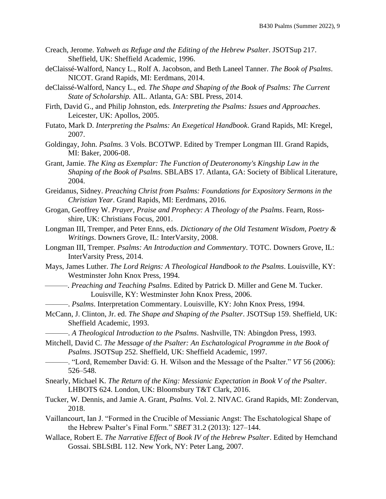- Creach, Jerome. *Yahweh as Refuge and the Editing of the Hebrew Psalter*. JSOTSup 217. Sheffield, UK: Sheffield Academic, 1996.
- deClaissé-Walford, Nancy L., Rolf A. Jacobson, and Beth Laneel Tanner. *The Book of Psalms*. NICOT. Grand Rapids, MI: Eerdmans, 2014.
- deClaissé-Walford, Nancy L., ed. *The Shape and Shaping of the Book of Psalms: The Current State of Scholarship.* AIL. Atlanta, GA: SBL Press, 2014.
- Firth, David G., and Philip Johnston, eds. *Interpreting the Psalms: Issues and Approaches*. Leicester, UK: Apollos, 2005.
- Futato, Mark D. *Interpreting the Psalms: An Exegetical Handbook*. Grand Rapids, MI: Kregel, 2007.
- Goldingay, John. *Psalms*. 3 Vols. BCOTWP. Edited by Tremper Longman III. Grand Rapids, MI: Baker, 2006-08.
- Grant, Jamie. *The King as Exemplar: The Function of Deuteronomy's Kingship Law in the Shaping of the Book of Psalms*. SBLABS 17. Atlanta, GA: Society of Biblical Literature, 2004.
- Greidanus, Sidney. *Preaching Christ from Psalms: Foundations for Expository Sermons in the Christian Year*. Grand Rapids, MI: Eerdmans, 2016.
- Grogan, Geoffrey W. *Prayer, Praise and Prophecy: A Theology of the Psalms*. Fearn, Rossshire, UK: Christians Focus, 2001.
- Longman III, Tremper, and Peter Enns, eds. *Dictionary of the Old Testament Wisdom, Poetry & Writings*. Downers Grove, IL: InterVarsity, 2008.
- Longman III, Tremper*. Psalms: An Introduction and Commentary*. TOTC. Downers Grove, IL: InterVarsity Press, 2014.
- Mays, James Luther. *The Lord Reigns: A Theological Handbook to the Psalms*. Louisville, KY: Westminster John Knox Press, 1994.
- ———. *Preaching and Teaching Psalms*. Edited by Patrick D. Miller and Gene M. Tucker. Louisville, KY: Westminster John Knox Press, 2006.
- ———. *Psalms*. Interpretation Commentary. Louisville, KY: John Knox Press, 1994.
- McCann, J. Clinton, Jr. ed. *The Shape and Shaping of the Psalter*. JSOTSup 159. Sheffield, UK: Sheffield Academic, 1993.
	- ———. *A Theological Introduction to the Psalms*. Nashville, TN: Abingdon Press, 1993.
- Mitchell, David C. *The Message of the Psalter: An Eschatological Programme in the Book of Psalms*. JSOTSup 252. Sheffield, UK: Sheffield Academic, 1997.
	- ———. "Lord, Remember David: G. H. Wilson and the Message of the Psalter." *VT* 56 (2006): 526–548.
- Snearly, Michael K. *The Return of the King: Messianic Expectation in Book V of the Psalter*. LHBOTS 624. London, UK: Bloomsbury T&T Clark, 2016.
- Tucker, W. Dennis, and Jamie A. Grant, *Psalms*. Vol. 2. NIVAC. Grand Rapids, MI: Zondervan, 2018.
- Vaillancourt, Ian J. "Formed in the Crucible of Messianic Angst: The Eschatological Shape of the Hebrew Psalter's Final Form." *SBET* 31.2 (2013): 127–144.
- Wallace, Robert E. *The Narrative Effect of Book IV of the Hebrew Psalter*. Edited by Hemchand Gossai. SBLStBL 112. New York, NY: Peter Lang, 2007.